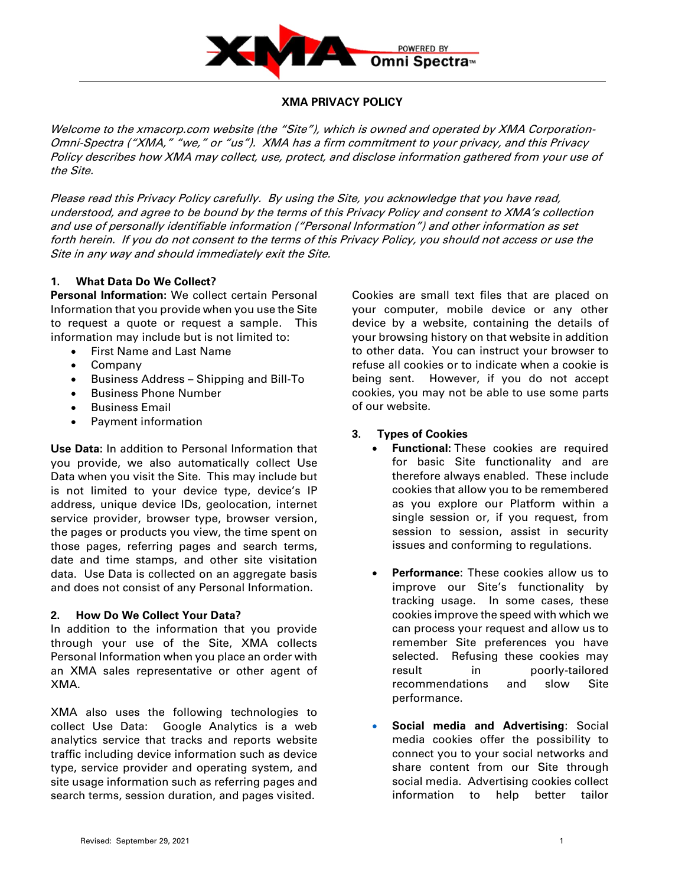

# **XMA PRIVACY POLICY**

Welcome to the xmacorp.com website (the "Site"), which is owned and operated by XMA Corporation-Omni-Spectra ("XMA," "we," or "us"). XMA has a firm commitment to your privacy, and this Privacy Policy describes how XMA may collect, use, protect, and disclose information gathered from your use of the Site.

Please read this Privacy Policy carefully. By using the Site, you acknowledge that you have read, understood, and agree to be bound by the terms of this Privacy Policy and consent to XMA's collection and use of personally identifiable information ("Personal Information") and other information as set forth herein. If you do not consent to the terms of this Privacy Policy, you should not access or use the Site in any way and should immediately exit the Site.

#### **1. What Data Do We Collect?**

**Personal Information:** We collect certain Personal Information that you provide when you use the Site to request a quote or request a sample. This information may include but is not limited to:

- First Name and Last Name
- Company
- Business Address Shipping and Bill-To
- Business Phone Number
- Business Email
- Payment information

**Use Data:** In addition to Personal Information that you provide, we also automatically collect Use Data when you visit the Site. This may include but is not limited to your device type, device's IP address, unique device IDs, geolocation, internet service provider, browser type, browser version, the pages or products you view, the time spent on those pages, referring pages and search terms, date and time stamps, and other site visitation data. Use Data is collected on an aggregate basis and does not consist of any Personal Information.

#### **2. How Do We Collect Your Data?**

In addition to the information that you provide through your use of the Site, XMA collects Personal Information when you place an order with an XMA sales representative or other agent of XMA.

XMA also uses the following technologies to collect Use Data: Google Analytics is a web analytics service that tracks and reports website traffic including device information such as device type, service provider and operating system, and site usage information such as referring pages and search terms, session duration, and pages visited.

Cookies are small text files that are placed on your computer, mobile device or any other device by a website, containing the details of your browsing history on that website in addition to other data. You can instruct your browser to refuse all cookies or to indicate when a cookie is being sent. However, if you do not accept cookies, you may not be able to use some parts of our website.

### **3. Types of Cookies**

- **Functional:** These cookies are required for basic Site functionality and are therefore always enabled. These include cookies that allow you to be remembered as you explore our Platform within a single session or, if you request, from session to session, assist in security issues and conforming to regulations.
- **Performance:** These cookies allow us to improve our Site's functionality by tracking usage. In some cases, these cookies improve the speed with which we can process your request and allow us to remember Site preferences you have selected. Refusing these cookies may result in poorly-tailored recommendations and slow Site performance.
- **Social media and Advertising**: Social media cookies offer the possibility to connect you to your social networks and share content from our Site through social media. Advertising cookies collect information to help better tailor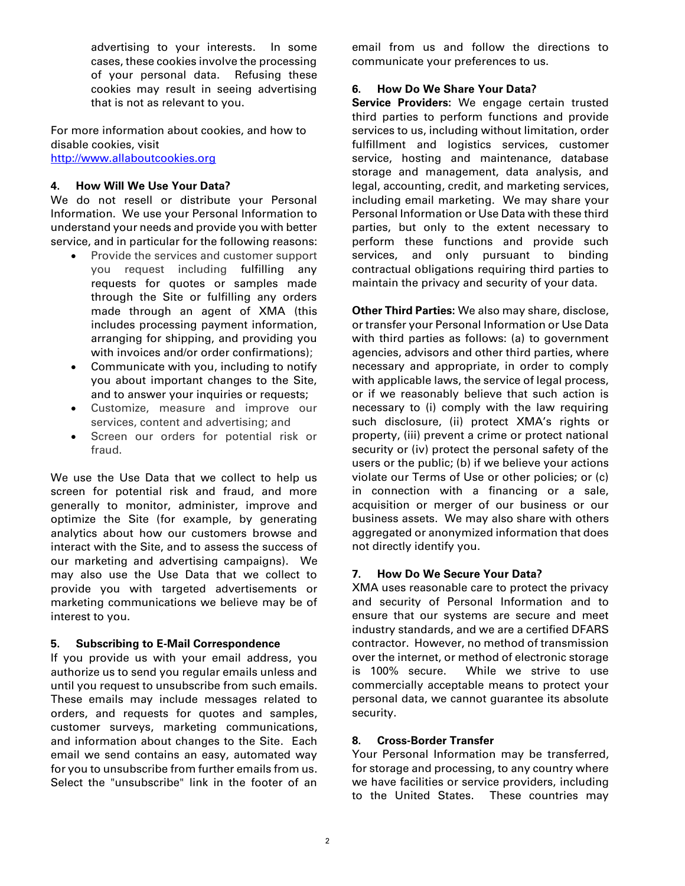advertising to your interests. In some cases, these cookies involve the processing of your personal data. Refusing these cookies may result in seeing advertising that is not as relevant to you.

For more information about cookies, and how to disable cookies, visit [http://www.allaboutcookies.org](http://www.allaboutcookies.org/)

### **4. How Will We Use Your Data?**

We do not resell or distribute your Personal Information. We use your Personal Information to understand your needs and provide you with better service, and in particular for the following reasons:

- Provide the services and customer support you request including fulfilling any requests for quotes or samples made through the Site or fulfilling any orders made through an agent of XMA (this includes processing payment information, arranging for shipping, and providing you with invoices and/or order confirmations);
- Communicate with you, including to notify you about important changes to the Site, and to answer your inquiries or requests;
- Customize, measure and improve our services, content and advertising; and
- Screen our orders for potential risk or fraud.

We use the Use Data that we collect to help us screen for potential risk and fraud, and more generally to monitor, administer, improve and optimize the Site (for example, by generating analytics about how our customers browse and interact with the Site, and to assess the success of our marketing and advertising campaigns). We may also use the Use Data that we collect to provide you with targeted advertisements or marketing communications we believe may be of interest to you.

# **5. Subscribing to E-Mail Correspondence**

If you provide us with your email address, you authorize us to send you regular emails unless and until you request to unsubscribe from such emails. These emails may include messages related to orders, and requests for quotes and samples, customer surveys, marketing communications, and information about changes to the Site. Each email we send contains an easy, automated way for you to unsubscribe from further emails from us. Select the "unsubscribe" link in the footer of an email from us and follow the directions to communicate your preferences to us.

### **6. How Do We Share Your Data?**

**Service Providers:** We engage certain trusted third parties to perform functions and provide services to us, including without limitation, order fulfillment and logistics services, customer service, hosting and maintenance, database storage and management, data analysis, and legal, accounting, credit, and marketing services, including email marketing. We may share your Personal Information or Use Data with these third parties, but only to the extent necessary to perform these functions and provide such services, and only pursuant to binding contractual obligations requiring third parties to maintain the privacy and security of your data.

**Other Third Parties:** We also may share, disclose, or transfer your Personal Information or Use Data with third parties as follows: (a) to government agencies, advisors and other third parties, where necessary and appropriate, in order to comply with applicable laws, the service of legal process, or if we reasonably believe that such action is necessary to (i) comply with the law requiring such disclosure, (ii) protect XMA's rights or property, (iii) prevent a crime or protect national security or (iv) protect the personal safety of the users or the public; (b) if we believe your actions violate our Terms of Use or other policies; or (c) in connection with a financing or a sale, acquisition or merger of our business or our business assets. We may also share with others aggregated or anonymized information that does not directly identify you.

# **7. How Do We Secure Your Data?**

XMA uses reasonable care to protect the privacy and security of Personal Information and to ensure that our systems are secure and meet industry standards, and we are a certified DFARS contractor. However, no method of transmission over the internet, or method of electronic storage is 100% secure. While we strive to use commercially acceptable means to protect your personal data, we cannot guarantee its absolute security.

# **8. Cross-Border Transfer**

Your Personal Information may be transferred, for storage and processing, to any country where we have facilities or service providers, including to the United States. These countries may